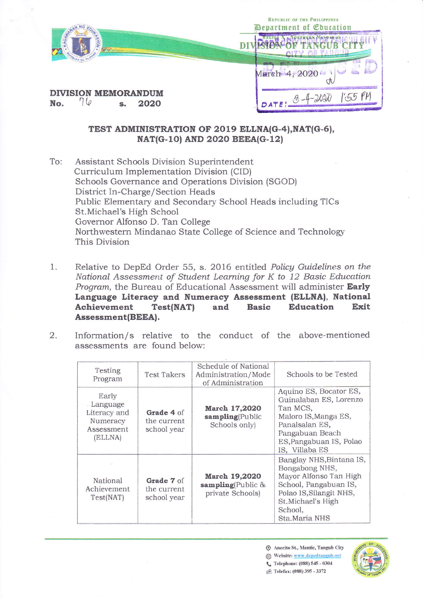|                                           | <b>REPUBLIC OF THE PHILIPPINES</b><br>Department of Education |  |  |
|-------------------------------------------|---------------------------------------------------------------|--|--|
|                                           | WTXNCIIR"                                                     |  |  |
|                                           | March 4, 2020                                                 |  |  |
| <b>DIVISION MEMORANDUM</b><br>No.<br>2020 | $(0 - 4 -$                                                    |  |  |

## TEST ADMINISTRATION OF 2019 ELLNA(G-4), NAT(G-6), NAT(G-10) AND 2020 BEEA(G-12)

To: Assistant Schools Division Superintendent Curriculum Implementation Division (CID) Schools Governance and Operations Division (SGOD) District In-Charge/Section Heads Public Elementary and Secondary School Heads including TICs St.Michael's High School Governor Alfonso D. Tan College Northwestern Mindanao State College of Science and Technology This Division

- 1. Relative to DepEd Order 55, s. 2016 entitled Policy Guidelines on the National Assessment of Student Learning for K to 12 Basic Education Program, the Bureau of Educational Assessment will administer Early Language Literacy and Numeracy Assessment (ELLNA), National **Achievement** Test(NAT) and **Basic** Education Exit Assessment(BEEA).
- 2. Information/s relative to the conduct of the above-mentioned assessments are found below:

| Testing<br>Program                                                     | <b>Test Takers</b>                       | Schedule of National<br>Administration/Mode<br>of Administration | Schools to be Tested                                                                                                                                                      |
|------------------------------------------------------------------------|------------------------------------------|------------------------------------------------------------------|---------------------------------------------------------------------------------------------------------------------------------------------------------------------------|
| Early<br>Language<br>Literacy and<br>Numeracy<br>Assessment<br>(ELLNA) | Grade 4 of<br>the current<br>school year | March 17,2020<br>sampling(Public<br>Schools only)                | Aquino ES, Bocator ES,<br>Guinalaban ES, Lorenzo<br>Tan MCS,<br>Maloro IS, Manga ES,<br>Panalsalan ES,<br>Pangabuan Beach<br>ES, Pangabuan IS, Polao<br>IS, Villaba ES    |
| National<br>Achievement<br>Test(NAT)                                   | Grade 7 of<br>the current<br>school year | March 19,2020<br>sampling(Public &<br>private Schools)           | Banglay NHS, Bintana IS,<br>Bongabong NHS,<br>Mayor Alfonso Tan High<br>School, Pangabuan IS,<br>Polao IS, Silangit NHS,<br>St.Michael's High<br>School,<br>Sta.Maria NHS |

- Anecito St., Mantic, Tangub City
- Website: www.depedtangub.net
- C Telephone: (088) 545 0304
- n<sup>®</sup> Telefax: (088) 395 3372